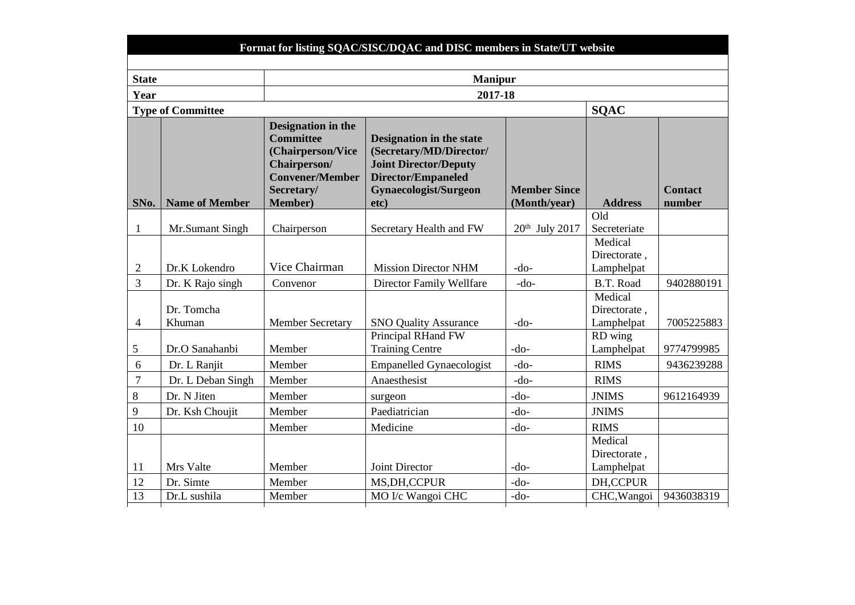| <b>State</b>   |                          |                                                                                                                                        | <b>Manipur</b>                                                                                                                             |                                     |                       |                          |
|----------------|--------------------------|----------------------------------------------------------------------------------------------------------------------------------------|--------------------------------------------------------------------------------------------------------------------------------------------|-------------------------------------|-----------------------|--------------------------|
| Year           |                          |                                                                                                                                        | 2017-18                                                                                                                                    |                                     |                       |                          |
|                | <b>Type of Committee</b> |                                                                                                                                        |                                                                                                                                            |                                     | <b>SQAC</b>           |                          |
| SNo.           | <b>Name of Member</b>    | Designation in the<br><b>Committee</b><br>(Chairperson/Vice<br>Chairperson/<br><b>Convener/Member</b><br>Secretary/<br><b>Member</b> ) | Designation in the state<br>(Secretary/MD/Director/<br><b>Joint Director/Deputy</b><br>Director/Empaneled<br>Gynaecologist/Surgeon<br>etc) | <b>Member Since</b><br>(Month/year) | <b>Address</b>        | <b>Contact</b><br>number |
|                |                          |                                                                                                                                        |                                                                                                                                            |                                     | Old                   |                          |
| 1              | Mr.Sumant Singh          | Chairperson                                                                                                                            | Secretary Health and FW                                                                                                                    | $20th$ July $2017$                  | Secreteriate          |                          |
|                |                          |                                                                                                                                        |                                                                                                                                            |                                     | Medical               |                          |
|                |                          |                                                                                                                                        |                                                                                                                                            |                                     | Directorate,          |                          |
| $\mathfrak{2}$ | Dr.K Lokendro            | Vice Chairman                                                                                                                          | <b>Mission Director NHM</b>                                                                                                                | $-do-$                              | Lamphelpat            |                          |
| 3              | Dr. K Rajo singh         | Convenor                                                                                                                               | <b>Director Family Wellfare</b>                                                                                                            | $-do-$                              | B.T. Road             | 9402880191               |
|                |                          |                                                                                                                                        |                                                                                                                                            |                                     | Medical               |                          |
|                | Dr. Tomcha               |                                                                                                                                        |                                                                                                                                            |                                     | Directorate.          |                          |
| $\overline{4}$ | Khuman                   | <b>Member Secretary</b>                                                                                                                | <b>SNO Quality Assurance</b><br>Principal RHand FW                                                                                         | $-do-$                              | Lamphelpat            | 7005225883               |
| 5              | Dr.O Sanahanbi           | Member                                                                                                                                 | <b>Training Centre</b>                                                                                                                     | $-do-$                              | RD wing<br>Lamphelpat | 9774799985               |
| 6              | Dr. L Ranjit             | Member                                                                                                                                 | <b>Empanelled Gynaecologist</b>                                                                                                            | $-do-$                              | <b>RIMS</b>           | 9436239288               |
| $\overline{7}$ | Dr. L Deban Singh        | Member                                                                                                                                 | Anaesthesist                                                                                                                               | $-do-$                              | <b>RIMS</b>           |                          |
| 8              | Dr. N Jiten              | Member                                                                                                                                 | surgeon                                                                                                                                    | $-do-$                              | <b>JNIMS</b>          | 9612164939               |
| 9              | Dr. Ksh Choujit          | Member                                                                                                                                 | Paediatrician                                                                                                                              | $-do-$                              | <b>JNIMS</b>          |                          |
| 10             |                          | Member                                                                                                                                 | Medicine                                                                                                                                   | $-do-$                              | <b>RIMS</b>           |                          |
|                |                          |                                                                                                                                        |                                                                                                                                            |                                     | Medical               |                          |
|                |                          |                                                                                                                                        |                                                                                                                                            |                                     | Directorate,          |                          |
| 11             | Mrs Valte                | Member                                                                                                                                 | <b>Joint Director</b>                                                                                                                      | $-do-$                              | Lamphelpat            |                          |
| 12             | Dr. Simte                | Member                                                                                                                                 | MS, DH, CCPUR                                                                                                                              | $-do-$                              | <b>DH,CCPUR</b>       |                          |
| 13             | Dr.L sushila             | Member                                                                                                                                 | MO I/c Wangoi CHC                                                                                                                          | $-do-$                              | CHC, Wangoi           | 9436038319               |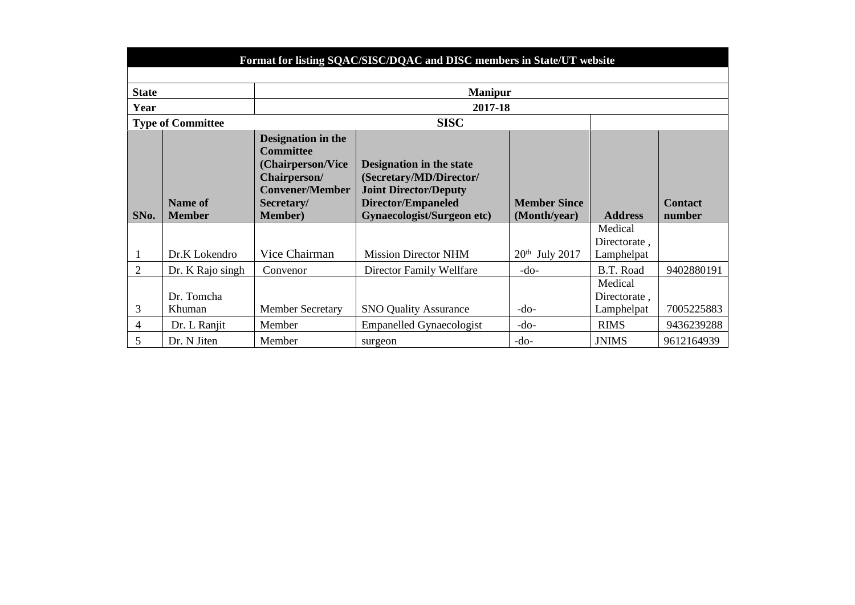|                | Format for listing SQAC/SISC/DQAC and DISC members in State/UT website |                                                                                                                                               |                                                                                                                                                |                                     |                                       |                          |  |  |
|----------------|------------------------------------------------------------------------|-----------------------------------------------------------------------------------------------------------------------------------------------|------------------------------------------------------------------------------------------------------------------------------------------------|-------------------------------------|---------------------------------------|--------------------------|--|--|
|                |                                                                        |                                                                                                                                               |                                                                                                                                                |                                     |                                       |                          |  |  |
| <b>State</b>   |                                                                        |                                                                                                                                               | <b>Manipur</b>                                                                                                                                 |                                     |                                       |                          |  |  |
| Year           |                                                                        |                                                                                                                                               | 2017-18                                                                                                                                        |                                     |                                       |                          |  |  |
|                | <b>Type of Committee</b>                                               |                                                                                                                                               | <b>SISC</b>                                                                                                                                    |                                     |                                       |                          |  |  |
| SNo.           | <b>Name of</b><br><b>Member</b>                                        | <b>Designation in the</b><br><b>Committee</b><br>(Chairperson/Vice<br>Chairperson/<br><b>Convener/Member</b><br>Secretary/<br><b>Member</b> ) | Designation in the state<br>(Secretary/MD/Director/<br><b>Joint Director/Deputy</b><br>Director/Empaneled<br><b>Gynaecologist/Surgeon etc)</b> | <b>Member Since</b><br>(Month/year) | <b>Address</b>                        | <b>Contact</b><br>number |  |  |
|                | Dr.K Lokendro                                                          | Vice Chairman                                                                                                                                 | <b>Mission Director NHM</b>                                                                                                                    | $20th$ July 2017                    | Medical<br>Directorate,<br>Lamphelpat |                          |  |  |
| $\overline{2}$ | Dr. K Rajo singh                                                       | Convenor                                                                                                                                      | Director Family Wellfare                                                                                                                       | $-do-$                              | B.T. Road                             | 9402880191               |  |  |
| 3              | Dr. Tomcha<br>Khuman                                                   | <b>Member Secretary</b>                                                                                                                       | <b>SNO Quality Assurance</b>                                                                                                                   | $-do-$                              | Medical<br>Directorate,<br>Lamphelpat | 7005225883               |  |  |
| 4              | Dr. L Ranjit                                                           | Member                                                                                                                                        | <b>Empanelled Gynaecologist</b>                                                                                                                | $-do-$                              | <b>RIMS</b>                           | 9436239288               |  |  |
| 5              | Dr. N Jiten                                                            | Member                                                                                                                                        | surgeon                                                                                                                                        | $-do-$                              | <b>JNIMS</b>                          | 9612164939               |  |  |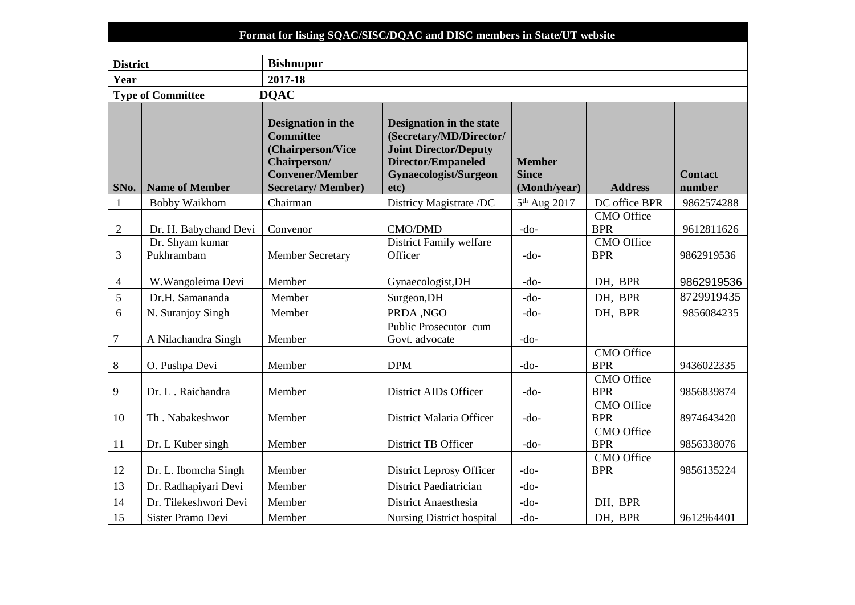|                 |                               |                                                                                                       | Format for listing SQAC/SISC/DQAC and DISC members in State/UT website                                                                    |                               |                                 |                |
|-----------------|-------------------------------|-------------------------------------------------------------------------------------------------------|-------------------------------------------------------------------------------------------------------------------------------------------|-------------------------------|---------------------------------|----------------|
| <b>District</b> |                               | <b>Bishnupur</b>                                                                                      |                                                                                                                                           |                               |                                 |                |
| Year            |                               | 2017-18                                                                                               |                                                                                                                                           |                               |                                 |                |
|                 | <b>Type of Committee</b>      | <b>DQAC</b>                                                                                           |                                                                                                                                           |                               |                                 |                |
|                 |                               | Designation in the<br><b>Committee</b><br>(Chairperson/Vice<br>Chairperson/<br><b>Convener/Member</b> | <b>Designation in the state</b><br>(Secretary/MD/Director/<br><b>Joint Director/Deputy</b><br>Director/Empaneled<br>Gynaecologist/Surgeon | <b>Member</b><br><b>Since</b> |                                 | <b>Contact</b> |
| SNo.            | <b>Name of Member</b>         | <b>Secretary/Member)</b>                                                                              | etc)                                                                                                                                      | (Month/year)                  | <b>Address</b>                  | number         |
| 1               | Bobby Waikhom                 | Chairman                                                                                              | Districy Magistrate /DC                                                                                                                   | 5 <sup>th</sup> Aug 2017      | DC office BPR                   | 9862574288     |
| $\overline{2}$  | Dr. H. Babychand Devi         | Convenor                                                                                              | <b>CMO/DMD</b>                                                                                                                            | $-do-$                        | <b>CMO</b> Office<br><b>BPR</b> | 9612811626     |
| 3               | Dr. Shyam kumar<br>Pukhrambam | <b>Member Secretary</b>                                                                               | District Family welfare<br>Officer                                                                                                        | $-do-$                        | <b>CMO</b> Office<br><b>BPR</b> | 9862919536     |
| $\overline{4}$  | W. Wangoleima Devi            | Member                                                                                                | Gynaecologist, DH                                                                                                                         | $-do-$                        | DH, BPR                         | 9862919536     |
| 5               | Dr.H. Samananda               | Member                                                                                                | Surgeon, DH                                                                                                                               | -do-                          | DH, BPR                         | 8729919435     |
| 6               | N. Suranjoy Singh             | Member                                                                                                | PRDA ,NGO                                                                                                                                 | $-do-$                        | DH, BPR                         | 9856084235     |
| $\tau$          | A Nilachandra Singh           | Member                                                                                                | Public Prosecutor cum<br>Govt. advocate                                                                                                   | $-do-$                        |                                 |                |
| 8               | O. Pushpa Devi                | Member                                                                                                | <b>DPM</b>                                                                                                                                | $-do-$                        | <b>CMO</b> Office<br><b>BPR</b> | 9436022335     |
| 9               | Dr. L. Raichandra             | Member                                                                                                | District AIDs Officer                                                                                                                     | $-do-$                        | <b>CMO</b> Office<br><b>BPR</b> | 9856839874     |

9856839874

CMO Office

CMO Office

CMO Office

BPR 8974643420

BPR 9856338076

BPR 9856135224

9 Dr. L. Raichandra Member District AIDs Officer -do-

10 Th . Nabakeshwor | Member | District Malaria Officer | -do-

11 Dr. L Kuber singh Member District TB Officer do-

12 Dr. L. Ibomcha Singh Member | District Leprosy Officer | -do-

13 Dr. Radhapiyari Devi Member | District Paediatrician | -do-

14 Dr. Tilekeshwori Devi Member District Anaesthesia -do- DH, BPR

15 Sister Pramo Devi Member Nursing District hospital -do- DH, BPR 9612964401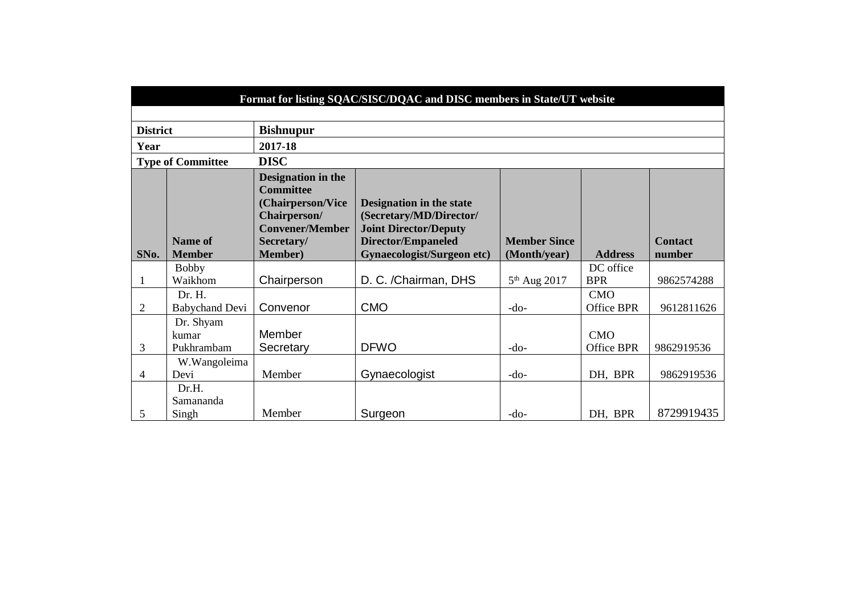|                 | Format for listing SQAC/SISC/DQAC and DISC members in State/UT website |                                                                                                                                        |                                                                                                                                                |                                     |                          |                          |  |  |
|-----------------|------------------------------------------------------------------------|----------------------------------------------------------------------------------------------------------------------------------------|------------------------------------------------------------------------------------------------------------------------------------------------|-------------------------------------|--------------------------|--------------------------|--|--|
|                 |                                                                        |                                                                                                                                        |                                                                                                                                                |                                     |                          |                          |  |  |
| <b>District</b> |                                                                        | <b>Bishnupur</b>                                                                                                                       |                                                                                                                                                |                                     |                          |                          |  |  |
| Year            |                                                                        | 2017-18                                                                                                                                |                                                                                                                                                |                                     |                          |                          |  |  |
|                 | <b>Type of Committee</b>                                               | <b>DISC</b>                                                                                                                            |                                                                                                                                                |                                     |                          |                          |  |  |
| SNo.            | <b>Name of</b><br><b>Member</b>                                        | Designation in the<br><b>Committee</b><br>(Chairperson/Vice<br>Chairperson/<br><b>Convener/Member</b><br>Secretary/<br><b>Member</b> ) | Designation in the state<br>(Secretary/MD/Director/<br><b>Joint Director/Deputy</b><br>Director/Empaneled<br><b>Gynaecologist/Surgeon etc)</b> | <b>Member Since</b><br>(Month/year) | <b>Address</b>           | <b>Contact</b><br>number |  |  |
|                 | <b>Bobby</b>                                                           |                                                                                                                                        |                                                                                                                                                |                                     | DC office                |                          |  |  |
|                 | Waikhom                                                                | Chairperson                                                                                                                            | D. C. /Chairman, DHS                                                                                                                           | 5 <sup>th</sup> Aug 2017            | <b>BPR</b>               | 9862574288               |  |  |
| $\overline{2}$  | Dr. H.<br><b>Babychand Devi</b>                                        | Convenor                                                                                                                               | <b>CMO</b>                                                                                                                                     | $-do-$                              | <b>CMO</b><br>Office BPR | 9612811626               |  |  |
| 3               | Dr. Shyam<br>kumar<br>Pukhrambam                                       | <b>Member</b><br>Secretary                                                                                                             | <b>DFWO</b>                                                                                                                                    | $-do-$                              | CMO<br><b>Office BPR</b> | 9862919536               |  |  |
| 4               | W.Wangoleima<br>Devi                                                   | Member                                                                                                                                 | Gynaecologist                                                                                                                                  | $-do-$                              | DH, BPR                  | 9862919536               |  |  |
| 5               | Dr.H.<br>Samananda<br>Singh                                            | Member                                                                                                                                 | Surgeon                                                                                                                                        | $-do-$                              | DH, BPR                  | 8729919435               |  |  |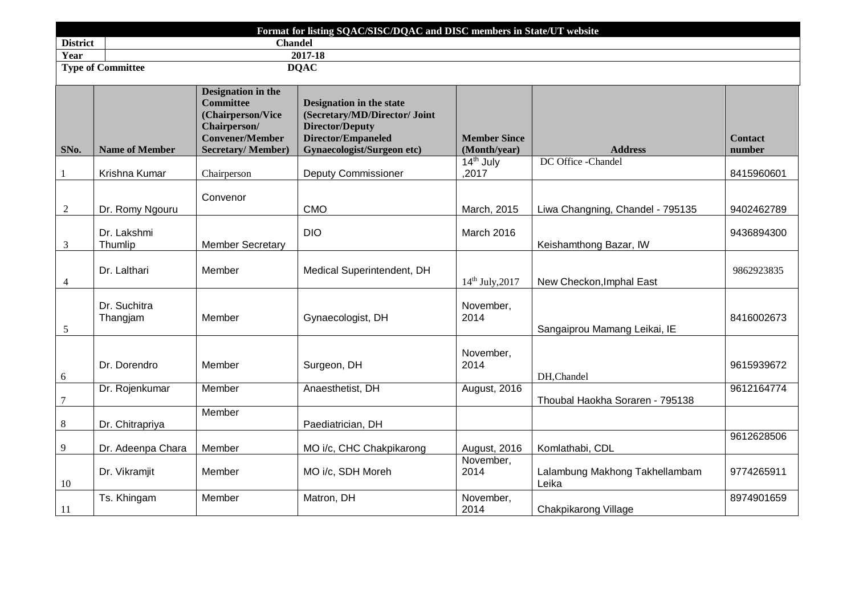|                 |                          |                                                                                                                                   | Format for listing SQAC/SISC/DQAC and DISC members in State/UT website                                                                         |                                     |                                         |                          |
|-----------------|--------------------------|-----------------------------------------------------------------------------------------------------------------------------------|------------------------------------------------------------------------------------------------------------------------------------------------|-------------------------------------|-----------------------------------------|--------------------------|
| <b>District</b> |                          | <b>Chandel</b>                                                                                                                    |                                                                                                                                                |                                     |                                         |                          |
| Year            |                          |                                                                                                                                   | 2017-18                                                                                                                                        |                                     |                                         |                          |
|                 | <b>Type of Committee</b> |                                                                                                                                   | <b>DQAC</b>                                                                                                                                    |                                     |                                         |                          |
| SNo.            | <b>Name of Member</b>    | Designation in the<br><b>Committee</b><br>(Chairperson/Vice<br>Chairperson/<br><b>Convener/Member</b><br><b>Secretary/Member)</b> | Designation in the state<br>(Secretary/MD/Director/ Joint<br><b>Director/Deputy</b><br>Director/Empaneled<br><b>Gynaecologist/Surgeon etc)</b> | <b>Member Since</b><br>(Month/year) | <b>Address</b>                          | <b>Contact</b><br>number |
| -1              | Krishna Kumar            | Chairperson                                                                                                                       | <b>Deputy Commissioner</b>                                                                                                                     | 14 <sup>th</sup> July<br>.2017      | DC Office -Chandel                      | 8415960601               |
| $\overline{c}$  | Dr. Romy Ngouru          | Convenor                                                                                                                          | <b>CMO</b>                                                                                                                                     | March, 2015                         | Liwa Changning, Chandel - 795135        | 9402462789               |
| 3               | Dr. Lakshmi<br>Thumlip   | <b>Member Secretary</b>                                                                                                           | <b>DIO</b>                                                                                                                                     | March 2016                          | Keishamthong Bazar, IW                  | 9436894300               |
| $\overline{4}$  | Dr. Lalthari             | Member                                                                                                                            | Medical Superintendent, DH                                                                                                                     | 14th July, 2017                     | New Checkon, Imphal East                | 9862923835               |
| $\sqrt{5}$      | Dr. Suchitra<br>Thangjam | Member                                                                                                                            | Gynaecologist, DH                                                                                                                              | November,<br>2014                   | Sangaiprou Mamang Leikai, IE            | 8416002673               |
| 6               | Dr. Dorendro             | Member                                                                                                                            | Surgeon, DH                                                                                                                                    | November,<br>2014                   | DH,Chandel                              | 9615939672               |
| $\tau$          | Dr. Rojenkumar           | Member                                                                                                                            | Anaesthetist, DH                                                                                                                               | August, 2016                        | Thoubal Haokha Soraren - 795138         | 9612164774               |
| 8               | Dr. Chitrapriya          | Member                                                                                                                            | Paediatrician, DH                                                                                                                              |                                     |                                         |                          |
| 9               | Dr. Adeenpa Chara        | Member                                                                                                                            | MO i/c, CHC Chakpikarong                                                                                                                       | August, 2016                        | Komlathabi, CDL                         | 9612628506               |
| 10              | Dr. Vikramjit            | Member                                                                                                                            | MO i/c, SDH Moreh                                                                                                                              | November,<br>2014                   | Lalambung Makhong Takhellambam<br>Leika | 9774265911               |
| <sup>11</sup>   | Ts. Khingam              | Member                                                                                                                            | Matron, DH                                                                                                                                     | November,<br>2014                   | Chakpikarong Village                    | 8974901659               |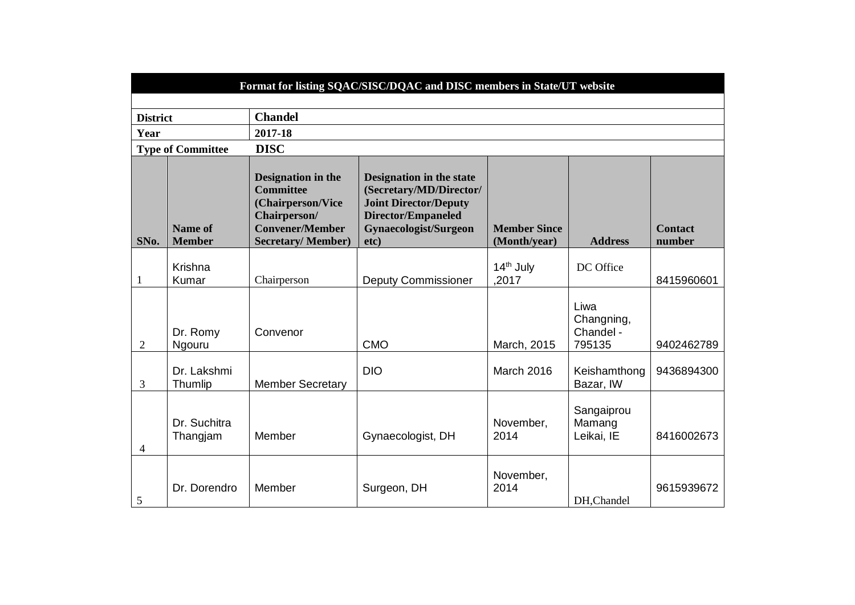|                 | Format for listing SQAC/SISC/DQAC and DISC members in State/UT website |                                                                                                                                   |                                                                                                                                            |                                     |                                           |                          |  |
|-----------------|------------------------------------------------------------------------|-----------------------------------------------------------------------------------------------------------------------------------|--------------------------------------------------------------------------------------------------------------------------------------------|-------------------------------------|-------------------------------------------|--------------------------|--|
|                 |                                                                        |                                                                                                                                   |                                                                                                                                            |                                     |                                           |                          |  |
| <b>District</b> |                                                                        | <b>Chandel</b>                                                                                                                    |                                                                                                                                            |                                     |                                           |                          |  |
| Year            |                                                                        | 2017-18                                                                                                                           |                                                                                                                                            |                                     |                                           |                          |  |
|                 | <b>Type of Committee</b>                                               | <b>DISC</b>                                                                                                                       |                                                                                                                                            |                                     |                                           |                          |  |
| SNo.            | <b>Name of</b><br><b>Member</b>                                        | Designation in the<br><b>Committee</b><br>(Chairperson/Vice<br>Chairperson/<br><b>Convener/Member</b><br><b>Secretary/Member)</b> | Designation in the state<br>(Secretary/MD/Director/<br><b>Joint Director/Deputy</b><br>Director/Empaneled<br>Gynaecologist/Surgeon<br>etc) | <b>Member Since</b><br>(Month/year) | <b>Address</b>                            | <b>Contact</b><br>number |  |
| 1               | Krishna<br>Kumar                                                       | Chairperson                                                                                                                       | <b>Deputy Commissioner</b>                                                                                                                 | 14 <sup>th</sup> July<br>,2017      | DC Office                                 | 8415960601               |  |
| $\overline{2}$  | Dr. Romy<br>Ngouru                                                     | Convenor                                                                                                                          | <b>CMO</b>                                                                                                                                 | March, 2015                         | Liwa<br>Changning,<br>Chandel -<br>795135 | 9402462789               |  |
| 3               | Dr. Lakshmi<br>Thumlip                                                 | <b>Member Secretary</b>                                                                                                           | <b>DIO</b>                                                                                                                                 | March 2016                          | Keishamthong<br>Bazar, IW                 | 9436894300               |  |
| 4               | Dr. Suchitra<br>Thangjam                                               | Member                                                                                                                            | Gynaecologist, DH                                                                                                                          | November,<br>2014                   | Sangaiprou<br>Mamang<br>Leikai, IE        | 8416002673               |  |
| 5               | Dr. Dorendro                                                           | Member                                                                                                                            | Surgeon, DH                                                                                                                                | November,<br>2014                   | DH, Chandel                               | 9615939672               |  |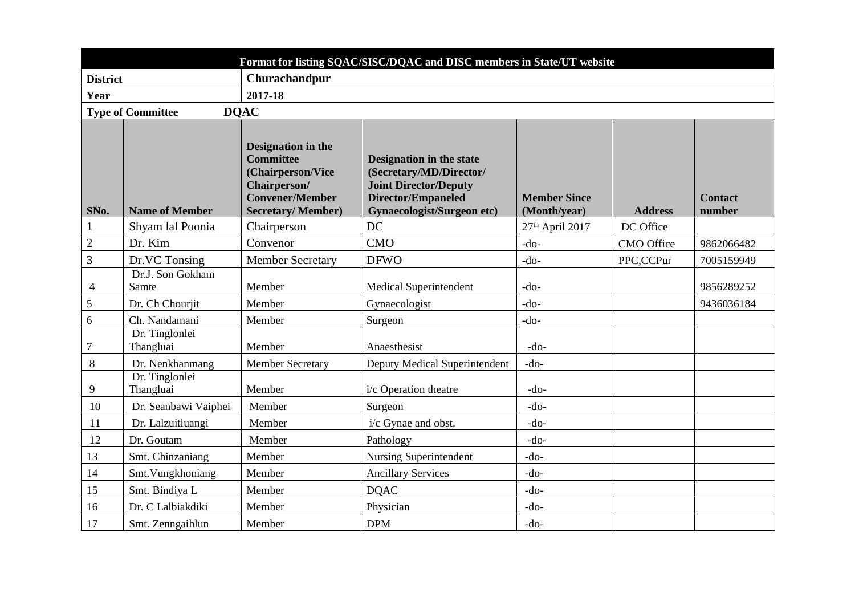|                 |                             |                                                                                                                                          | Format for listing SQAC/SISC/DQAC and DISC members in State/UT website                                                                                |                                     |                   |                          |  |  |
|-----------------|-----------------------------|------------------------------------------------------------------------------------------------------------------------------------------|-------------------------------------------------------------------------------------------------------------------------------------------------------|-------------------------------------|-------------------|--------------------------|--|--|
| <b>District</b> |                             | Churachandpur                                                                                                                            |                                                                                                                                                       |                                     |                   |                          |  |  |
| Year            |                             | 2017-18                                                                                                                                  |                                                                                                                                                       |                                     |                   |                          |  |  |
|                 | <b>Type of Committee</b>    | <b>DOAC</b>                                                                                                                              |                                                                                                                                                       |                                     |                   |                          |  |  |
| SNo.            | <b>Name of Member</b>       | <b>Designation in the</b><br><b>Committee</b><br>(Chairperson/Vice<br>Chairperson/<br><b>Convener/Member</b><br><b>Secretary/Member)</b> | Designation in the state<br>(Secretary/MD/Director/<br><b>Joint Director/Deputy</b><br><b>Director/Empaneled</b><br><b>Gynaecologist/Surgeon etc)</b> | <b>Member Since</b><br>(Month/year) | <b>Address</b>    | <b>Contact</b><br>number |  |  |
| $\mathbf{1}$    | Shyam lal Poonia            | Chairperson                                                                                                                              | DC                                                                                                                                                    | 27 <sup>th</sup> April 2017         | DC Office         |                          |  |  |
| $\mathbf{2}$    | Dr. Kim                     | Convenor                                                                                                                                 | <b>CMO</b>                                                                                                                                            | $-do-$                              | <b>CMO</b> Office | 9862066482               |  |  |
| 3               | Dr.VC Tonsing               | <b>Member Secretary</b>                                                                                                                  | <b>DFWO</b>                                                                                                                                           | -do-                                | PPC,CCPur         | 7005159949               |  |  |
| $\overline{4}$  | Dr.J. Son Gokham<br>Samte   | Member                                                                                                                                   | <b>Medical Superintendent</b>                                                                                                                         | -do-                                |                   | 9856289252               |  |  |
| 5               | Dr. Ch Chourjit             | Member                                                                                                                                   | Gynaecologist                                                                                                                                         | $-do-$                              |                   | 9436036184               |  |  |
| 6               | Ch. Nandamani               | Member                                                                                                                                   | Surgeon                                                                                                                                               | -do-                                |                   |                          |  |  |
| 7               | Dr. Tinglonlei<br>Thangluai | Member                                                                                                                                   | Anaesthesist                                                                                                                                          | $-do-$                              |                   |                          |  |  |
| 8               | Dr. Nenkhanmang             | <b>Member Secretary</b>                                                                                                                  | Deputy Medical Superintendent                                                                                                                         | $-do-$                              |                   |                          |  |  |
| 9               | Dr. Tinglonlei<br>Thangluai | Member                                                                                                                                   | i/c Operation theatre                                                                                                                                 | $-do-$                              |                   |                          |  |  |
| 10              | Dr. Seanbawi Vaiphei        | Member                                                                                                                                   | Surgeon                                                                                                                                               | $-do-$                              |                   |                          |  |  |
| <b>11</b>       | Dr. Lalzuitluangi           | Member                                                                                                                                   | i/c Gynae and obst.                                                                                                                                   | $-do-$                              |                   |                          |  |  |
| 12              | Dr. Goutam                  | Member                                                                                                                                   | Pathology                                                                                                                                             | $-do-$                              |                   |                          |  |  |
| 13              | Smt. Chinzaniang            | Member                                                                                                                                   | <b>Nursing Superintendent</b>                                                                                                                         | $-do-$                              |                   |                          |  |  |
| 14              | Smt. Vungkhoniang           | Member                                                                                                                                   | <b>Ancillary Services</b>                                                                                                                             | $-do-$                              |                   |                          |  |  |
| 15              | Smt. Bindiya L              | Member                                                                                                                                   | <b>DOAC</b>                                                                                                                                           | $-do-$                              |                   |                          |  |  |
| 16              | Dr. C Lalbiakdiki           | Member                                                                                                                                   | Physician                                                                                                                                             | $-do-$                              |                   |                          |  |  |
| 17              | Smt. Zenngaihlun            | Member                                                                                                                                   | <b>DPM</b>                                                                                                                                            | $-do-$                              |                   |                          |  |  |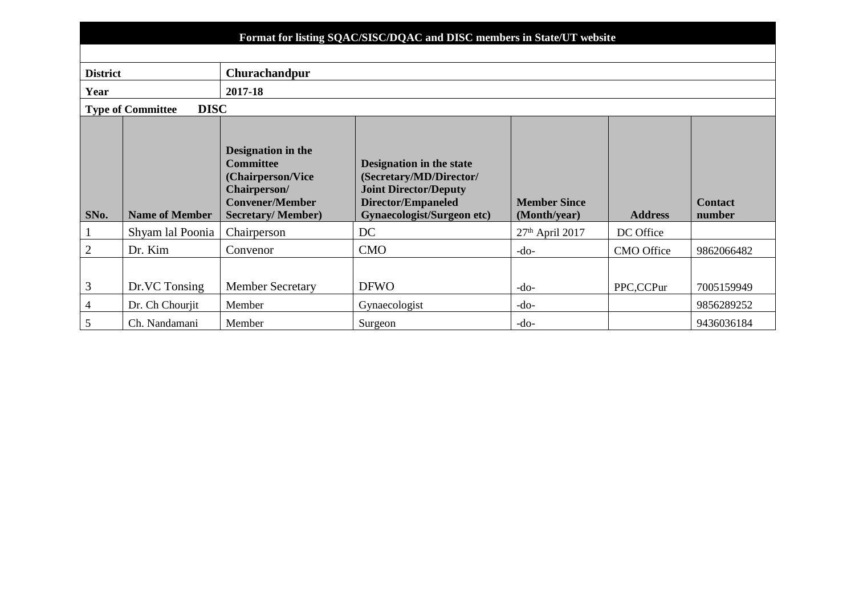|                 | Format for listing SQAC/SISC/DQAC and DISC members in State/UT website |                                                                                                                                          |                                                                                                                                                       |                                     |                |                          |  |  |  |
|-----------------|------------------------------------------------------------------------|------------------------------------------------------------------------------------------------------------------------------------------|-------------------------------------------------------------------------------------------------------------------------------------------------------|-------------------------------------|----------------|--------------------------|--|--|--|
|                 |                                                                        |                                                                                                                                          |                                                                                                                                                       |                                     |                |                          |  |  |  |
| <b>District</b> | Churachandpur                                                          |                                                                                                                                          |                                                                                                                                                       |                                     |                |                          |  |  |  |
| Year            |                                                                        | 2017-18                                                                                                                                  |                                                                                                                                                       |                                     |                |                          |  |  |  |
|                 | <b>DISC</b><br><b>Type of Committee</b>                                |                                                                                                                                          |                                                                                                                                                       |                                     |                |                          |  |  |  |
| SNo.            | <b>Name of Member</b>                                                  | <b>Designation in the</b><br><b>Committee</b><br>(Chairperson/Vice<br>Chairperson/<br><b>Convener/Member</b><br><b>Secretary/Member)</b> | <b>Designation in the state</b><br>(Secretary/MD/Director/<br><b>Joint Director/Deputy</b><br>Director/Empaneled<br><b>Gynaecologist/Surgeon etc)</b> | <b>Member Since</b><br>(Month/year) | <b>Address</b> | <b>Contact</b><br>number |  |  |  |
| $\mathbf{1}$    | Shyam lal Poonia                                                       | Chairperson                                                                                                                              | DC                                                                                                                                                    | $27th$ April 2017                   | DC Office      |                          |  |  |  |
| $\overline{2}$  | Dr. Kim                                                                | Convenor                                                                                                                                 | <b>CMO</b>                                                                                                                                            | $-do-$                              | CMO Office     | 9862066482               |  |  |  |
|                 |                                                                        |                                                                                                                                          |                                                                                                                                                       |                                     |                |                          |  |  |  |
| $\mathfrak{Z}$  | Dr.VC Tonsing                                                          | <b>Member Secretary</b>                                                                                                                  | <b>DFWO</b>                                                                                                                                           | $-do-$                              | PPC,CCPur      | 7005159949               |  |  |  |
| $\overline{4}$  | Dr. Ch Chourjit                                                        | Member                                                                                                                                   | Gynaecologist                                                                                                                                         | $-do-$                              |                | 9856289252               |  |  |  |
| 5               | Ch. Nandamani                                                          | Member                                                                                                                                   | Surgeon                                                                                                                                               | $-do-$                              |                | 9436036184               |  |  |  |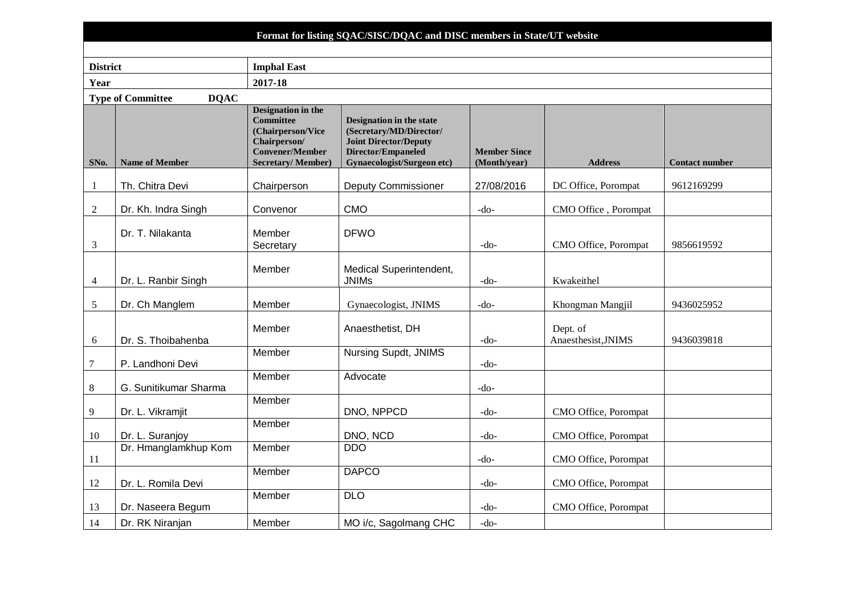|                 | Format for listing SQAC/SISC/DQAC and DISC members in State/UT website |                                                                                                                                          |                                                                                                                                         |                                     |                                 |                       |  |  |
|-----------------|------------------------------------------------------------------------|------------------------------------------------------------------------------------------------------------------------------------------|-----------------------------------------------------------------------------------------------------------------------------------------|-------------------------------------|---------------------------------|-----------------------|--|--|
|                 |                                                                        |                                                                                                                                          |                                                                                                                                         |                                     |                                 |                       |  |  |
| <b>District</b> |                                                                        | <b>Imphal East</b>                                                                                                                       |                                                                                                                                         |                                     |                                 |                       |  |  |
| Year            |                                                                        | 2017-18                                                                                                                                  |                                                                                                                                         |                                     |                                 |                       |  |  |
|                 | <b>Type of Committee</b><br><b>DQAC</b>                                |                                                                                                                                          |                                                                                                                                         |                                     |                                 |                       |  |  |
| SNo.            | <b>Name of Member</b>                                                  | <b>Designation in the</b><br><b>Committee</b><br>(Chairperson/Vice<br>Chairperson/<br><b>Convener/Member</b><br><b>Secretary/Member)</b> | Designation in the state<br>(Secretary/MD/Director/<br><b>Joint Director/Deputy</b><br>Director/Empaneled<br>Gynaecologist/Surgeon etc) | <b>Member Since</b><br>(Month/year) | <b>Address</b>                  | <b>Contact number</b> |  |  |
| $\mathbf{1}$    | Th. Chitra Devi                                                        | Chairperson                                                                                                                              | <b>Deputy Commissioner</b>                                                                                                              | 27/08/2016                          | DC Office, Porompat             | 9612169299            |  |  |
| $\overline{2}$  | Dr. Kh. Indra Singh                                                    | Convenor                                                                                                                                 | <b>CMO</b>                                                                                                                              | $-do-$                              | CMO Office, Porompat            |                       |  |  |
| 3               | Dr. T. Nilakanta                                                       | Member<br>Secretary                                                                                                                      | <b>DFWO</b>                                                                                                                             | $-do-$                              | CMO Office, Porompat            | 9856619592            |  |  |
| 4               | Dr. L. Ranbir Singh                                                    | Member                                                                                                                                   | Medical Superintendent,<br><b>JNIMs</b>                                                                                                 | $-do-$                              | Kwakeithel                      |                       |  |  |
| 5               | Dr. Ch Manglem                                                         | Member                                                                                                                                   | Gynaecologist, JNIMS                                                                                                                    | $-do-$                              | Khongman Mangjil                | 9436025952            |  |  |
| 6               | Dr. S. Thoibahenba                                                     | Member                                                                                                                                   | Anaesthetist, DH                                                                                                                        | $-do-$                              | Dept. of<br>Anaesthesist, JNIMS | 9436039818            |  |  |
| 7               | P. Landhoni Devi                                                       | Member                                                                                                                                   | <b>Nursing Supdt, JNIMS</b>                                                                                                             | $-do-$                              |                                 |                       |  |  |
| $\,8\,$         | G. Sunitikumar Sharma                                                  | Member                                                                                                                                   | Advocate                                                                                                                                | $-do-$                              |                                 |                       |  |  |
| 9               | Dr. L. Vikramjit                                                       | Member                                                                                                                                   | DNO, NPPCD                                                                                                                              | $-do-$                              | CMO Office, Porompat            |                       |  |  |
| 10              | Dr. L. Suranjoy                                                        | Member                                                                                                                                   | DNO, NCD                                                                                                                                | $-do-$                              | CMO Office, Porompat            |                       |  |  |
| 11              | Dr. Hmanglamkhup Kom                                                   | Member                                                                                                                                   | <b>DDO</b>                                                                                                                              | $-do-$                              | CMO Office, Porompat            |                       |  |  |
| 12              | Dr. L. Romila Devi                                                     | Member                                                                                                                                   | <b>DAPCO</b>                                                                                                                            | $-do-$                              | CMO Office, Porompat            |                       |  |  |
| 13              | Dr. Naseera Begum                                                      | Member                                                                                                                                   | <b>DLO</b>                                                                                                                              | $-do-$                              | CMO Office, Porompat            |                       |  |  |
| 14              | Dr. RK Niranjan                                                        | Member                                                                                                                                   | MO i/c, Sagolmang CHC                                                                                                                   | $-do-$                              |                                 |                       |  |  |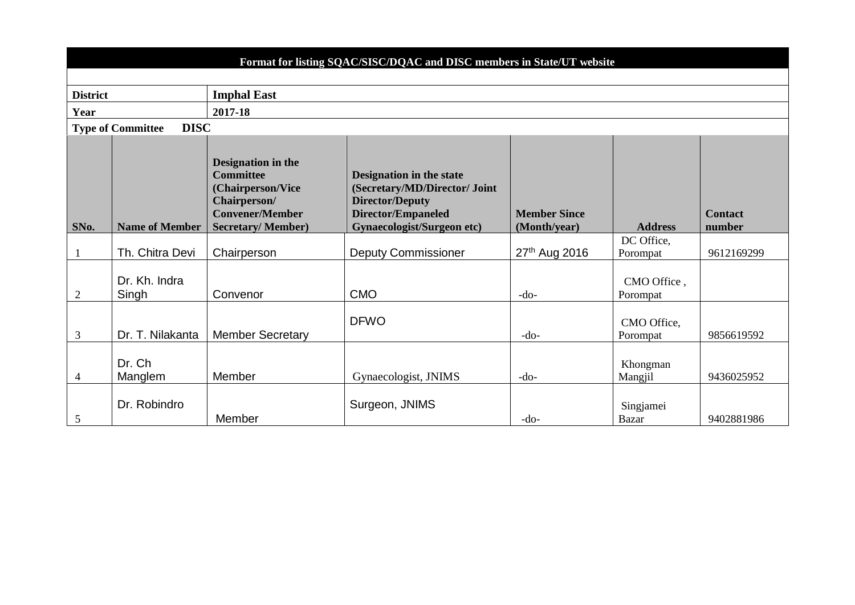|                 |                                         |                                                                                                                                   | Format for listing SQAC/SISC/DQAC and DISC members in State/UT website                                                                                |                                     |                           |                          |
|-----------------|-----------------------------------------|-----------------------------------------------------------------------------------------------------------------------------------|-------------------------------------------------------------------------------------------------------------------------------------------------------|-------------------------------------|---------------------------|--------------------------|
|                 |                                         |                                                                                                                                   |                                                                                                                                                       |                                     |                           |                          |
| <b>District</b> |                                         | <b>Imphal East</b>                                                                                                                |                                                                                                                                                       |                                     |                           |                          |
| Year            |                                         | 2017-18                                                                                                                           |                                                                                                                                                       |                                     |                           |                          |
|                 | <b>DISC</b><br><b>Type of Committee</b> |                                                                                                                                   |                                                                                                                                                       |                                     |                           |                          |
| SNo.            | <b>Name of Member</b>                   | Designation in the<br><b>Committee</b><br>(Chairperson/Vice<br>Chairperson/<br><b>Convener/Member</b><br><b>Secretary/Member)</b> | Designation in the state<br>(Secretary/MD/Director/ Joint<br><b>Director/Deputy</b><br><b>Director/Empaneled</b><br><b>Gynaecologist/Surgeon etc)</b> | <b>Member Since</b><br>(Month/year) | <b>Address</b>            | <b>Contact</b><br>number |
|                 | Th. Chitra Devi                         | Chairperson                                                                                                                       | <b>Deputy Commissioner</b>                                                                                                                            | 27th Aug 2016                       | DC Office,<br>Porompat    | 9612169299               |
| 2               | Dr. Kh. Indra<br>Singh                  | Convenor                                                                                                                          | <b>CMO</b>                                                                                                                                            | $-do-$                              | CMO Office,<br>Porompat   |                          |
| 3               | Dr. T. Nilakanta                        | <b>Member Secretary</b>                                                                                                           | <b>DFWO</b>                                                                                                                                           | $-do-$                              | CMO Office,<br>Porompat   | 9856619592               |
| $\overline{4}$  | Dr. Ch<br>Manglem                       | Member                                                                                                                            | Gynaecologist, JNIMS                                                                                                                                  | $-do-$                              | Khongman<br>Mangjil       | 9436025952               |
| 5               | Dr. Robindro                            | Member                                                                                                                            | Surgeon, JNIMS                                                                                                                                        | $-do-$                              | Singjamei<br><b>Bazar</b> | 9402881986               |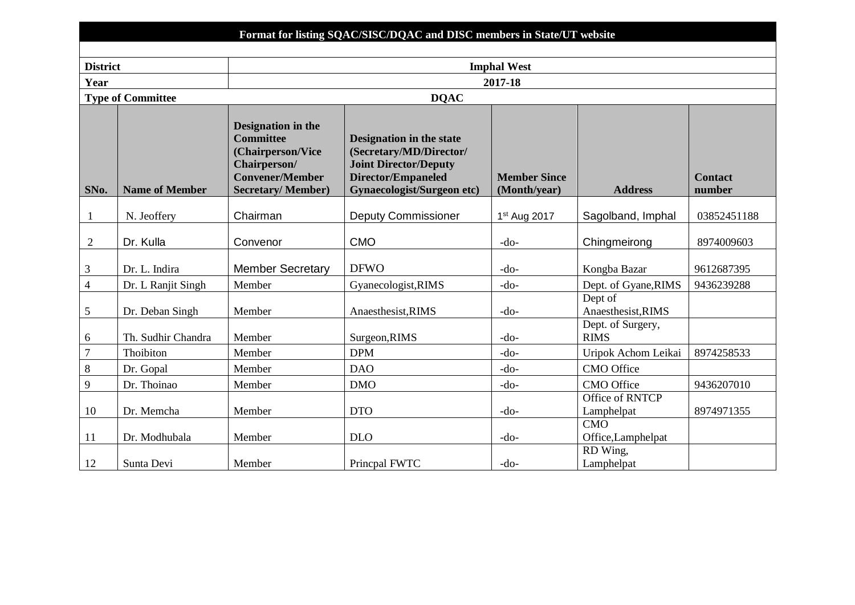| <b>Format for listing SQAC/SISC/DQAC and DISC members in State/UT website</b> |
|-------------------------------------------------------------------------------|
|                                                                               |

| <b>District</b> |                          | <b>Imphal West</b>                                                                                                                       |                                                                                                                                                       |                                     |                                  |                          |  |  |
|-----------------|--------------------------|------------------------------------------------------------------------------------------------------------------------------------------|-------------------------------------------------------------------------------------------------------------------------------------------------------|-------------------------------------|----------------------------------|--------------------------|--|--|
| Year            |                          | 2017-18                                                                                                                                  |                                                                                                                                                       |                                     |                                  |                          |  |  |
|                 | <b>Type of Committee</b> |                                                                                                                                          | <b>DQAC</b>                                                                                                                                           |                                     |                                  |                          |  |  |
| SNo.            | <b>Name of Member</b>    | <b>Designation in the</b><br><b>Committee</b><br>(Chairperson/Vice<br>Chairperson/<br><b>Convener/Member</b><br><b>Secretary/Member)</b> | Designation in the state<br>(Secretary/MD/Director/<br><b>Joint Director/Deputy</b><br><b>Director/Empaneled</b><br><b>Gynaecologist/Surgeon etc)</b> | <b>Member Since</b><br>(Month/year) | <b>Address</b>                   | <b>Contact</b><br>number |  |  |
| -1              | N. Jeoffery              | Chairman                                                                                                                                 | <b>Deputy Commissioner</b>                                                                                                                            | 1 <sup>st</sup> Aug 2017            | Sagolband, Imphal                | 03852451188              |  |  |
| $\overline{2}$  | Dr. Kulla                | Convenor                                                                                                                                 | <b>CMO</b>                                                                                                                                            | $-do-$                              | Chingmeirong                     | 8974009603               |  |  |
| $\mathfrak{Z}$  | Dr. L. Indira            | <b>Member Secretary</b>                                                                                                                  | <b>DFWO</b>                                                                                                                                           | $-do-$                              | Kongba Bazar                     | 9612687395               |  |  |
| $\overline{4}$  | Dr. L Ranjit Singh       | Member                                                                                                                                   | Gyanecologist, RIMS                                                                                                                                   | $-do-$                              | Dept. of Gyane, RIMS             | 9436239288               |  |  |
| 5               | Dr. Deban Singh          | Member                                                                                                                                   | Anaesthesist, RIMS                                                                                                                                    | $-do-$                              | Dept of<br>Anaesthesist, RIMS    |                          |  |  |
| 6               | Th. Sudhir Chandra       | Member                                                                                                                                   | Surgeon, RIMS                                                                                                                                         | -do-                                | Dept. of Surgery,<br><b>RIMS</b> |                          |  |  |
| $\overline{7}$  | Thoibiton                | Member                                                                                                                                   | <b>DPM</b>                                                                                                                                            | $-do-$                              | Uripok Achom Leikai              | 8974258533               |  |  |
| $\,8\,$         | Dr. Gopal                | Member                                                                                                                                   | <b>DAO</b>                                                                                                                                            | $-do-$                              | <b>CMO</b> Office                |                          |  |  |
| $\overline{9}$  | Dr. Thoinao              | Member                                                                                                                                   | <b>DMO</b>                                                                                                                                            | $-do-$                              | <b>CMO</b> Office                | 9436207010               |  |  |
| 10              | Dr. Memcha               | Member                                                                                                                                   | <b>DTO</b>                                                                                                                                            | $-do-$                              | Office of RNTCP<br>Lamphelpat    | 8974971355               |  |  |
| 11              | Dr. Modhubala            | Member                                                                                                                                   | <b>DLO</b>                                                                                                                                            | $-do-$                              | CMO<br>Office, Lamphelpat        |                          |  |  |
| 12              | Sunta Devi               | Member                                                                                                                                   | Princpal FWTC                                                                                                                                         | $-do-$                              | RD Wing,<br>Lamphelpat           |                          |  |  |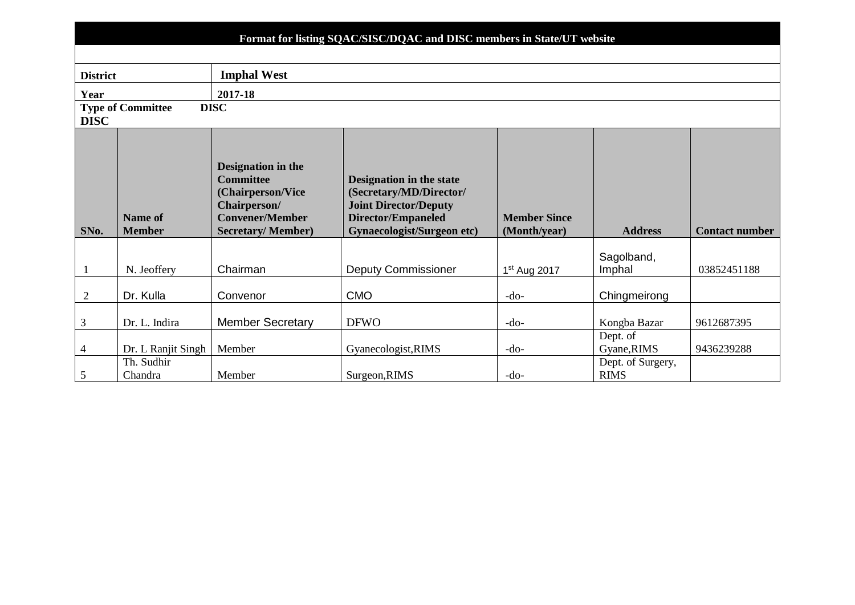|                 | Format for listing SQAC/SISC/DQAC and DISC members in State/UT website |                                                                                                                                   |                                                                                                                                                       |                                     |                                  |                       |  |  |  |  |  |  |  |  |
|-----------------|------------------------------------------------------------------------|-----------------------------------------------------------------------------------------------------------------------------------|-------------------------------------------------------------------------------------------------------------------------------------------------------|-------------------------------------|----------------------------------|-----------------------|--|--|--|--|--|--|--|--|
|                 |                                                                        |                                                                                                                                   |                                                                                                                                                       |                                     |                                  |                       |  |  |  |  |  |  |  |  |
| <b>District</b> |                                                                        | <b>Imphal West</b>                                                                                                                |                                                                                                                                                       |                                     |                                  |                       |  |  |  |  |  |  |  |  |
| Year            |                                                                        | 2017-18                                                                                                                           |                                                                                                                                                       |                                     |                                  |                       |  |  |  |  |  |  |  |  |
| <b>DISC</b>     | <b>Type of Committee</b>                                               | <b>DISC</b>                                                                                                                       |                                                                                                                                                       |                                     |                                  |                       |  |  |  |  |  |  |  |  |
|                 |                                                                        |                                                                                                                                   |                                                                                                                                                       |                                     |                                  |                       |  |  |  |  |  |  |  |  |
| SNo.            | <b>Name of</b><br><b>Member</b>                                        | Designation in the<br><b>Committee</b><br>(Chairperson/Vice<br>Chairperson/<br><b>Convener/Member</b><br><b>Secretary/Member)</b> | Designation in the state<br>(Secretary/MD/Director/<br><b>Joint Director/Deputy</b><br><b>Director/Empaneled</b><br><b>Gynaecologist/Surgeon etc)</b> | <b>Member Since</b><br>(Month/year) | <b>Address</b>                   | <b>Contact number</b> |  |  |  |  |  |  |  |  |
|                 | N. Jeoffery                                                            | Chairman                                                                                                                          | <b>Deputy Commissioner</b>                                                                                                                            | 1 <sup>st</sup> Aug 2017            | Sagolband,<br>Imphal             | 03852451188           |  |  |  |  |  |  |  |  |
| $\overline{c}$  | Dr. Kulla                                                              | Convenor                                                                                                                          | <b>CMO</b>                                                                                                                                            | $-do-$                              | Chingmeirong                     |                       |  |  |  |  |  |  |  |  |
| $\mathfrak{Z}$  | Dr. L. Indira                                                          | <b>Member Secretary</b>                                                                                                           | <b>DFWO</b>                                                                                                                                           | $-do-$                              | Kongba Bazar                     | 9612687395            |  |  |  |  |  |  |  |  |
| $\overline{4}$  | Dr. L Ranjit Singh                                                     | Member                                                                                                                            | Gyanecologist, RIMS                                                                                                                                   | $-do-$                              | Dept. of<br>Gyane, RIMS          | 9436239288            |  |  |  |  |  |  |  |  |
| $\mathfrak{S}$  | Th. Sudhir<br>Chandra                                                  | Surgeon, RIMS<br>Member                                                                                                           |                                                                                                                                                       | $-do-$                              | Dept. of Surgery,<br><b>RIMS</b> |                       |  |  |  |  |  |  |  |  |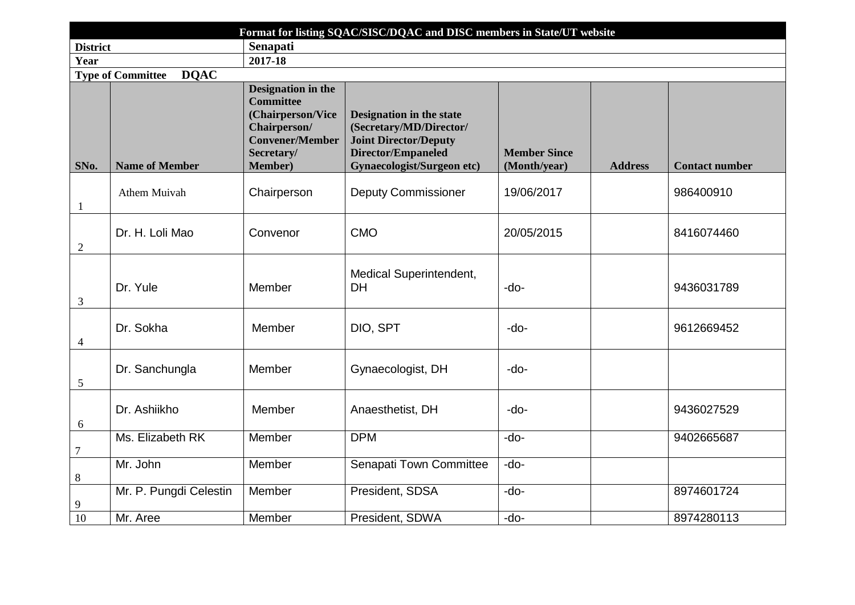| Format for listing SQAC/SISC/DQAC and DISC members in State/UT website |                                         |                                                                                                                                               |                                                                                                                                                       |                                     |                |                       |  |  |  |  |  |  |
|------------------------------------------------------------------------|-----------------------------------------|-----------------------------------------------------------------------------------------------------------------------------------------------|-------------------------------------------------------------------------------------------------------------------------------------------------------|-------------------------------------|----------------|-----------------------|--|--|--|--|--|--|
| <b>District</b>                                                        |                                         | Senapati                                                                                                                                      |                                                                                                                                                       |                                     |                |                       |  |  |  |  |  |  |
| Year                                                                   |                                         | 2017-18                                                                                                                                       |                                                                                                                                                       |                                     |                |                       |  |  |  |  |  |  |
|                                                                        | <b>DQAC</b><br><b>Type of Committee</b> |                                                                                                                                               |                                                                                                                                                       |                                     |                |                       |  |  |  |  |  |  |
| SNo.                                                                   | <b>Name of Member</b>                   | <b>Designation in the</b><br><b>Committee</b><br>(Chairperson/Vice<br>Chairperson/<br><b>Convener/Member</b><br>Secretary/<br><b>Member</b> ) | <b>Designation in the state</b><br>(Secretary/MD/Director/<br><b>Joint Director/Deputy</b><br>Director/Empaneled<br><b>Gynaecologist/Surgeon etc)</b> | <b>Member Since</b><br>(Month/year) | <b>Address</b> | <b>Contact number</b> |  |  |  |  |  |  |
| $\mathbf{1}$                                                           | Athem Muivah                            | Chairperson                                                                                                                                   | <b>Deputy Commissioner</b>                                                                                                                            | 19/06/2017                          |                | 986400910             |  |  |  |  |  |  |
| $\sqrt{2}$                                                             | Dr. H. Loli Mao                         | Convenor                                                                                                                                      | <b>CMO</b>                                                                                                                                            | 20/05/2015                          | 8416074460     |                       |  |  |  |  |  |  |
| 3                                                                      | Dr. Yule                                | Member                                                                                                                                        | Medical Superintendent,<br><b>DH</b>                                                                                                                  | -do-                                |                | 9436031789            |  |  |  |  |  |  |
| $\overline{4}$                                                         | Dr. Sokha                               | Member                                                                                                                                        | DIO, SPT                                                                                                                                              | $-do-$                              |                | 9612669452            |  |  |  |  |  |  |
| $\mathfrak{S}$                                                         | Dr. Sanchungla                          | Member                                                                                                                                        | Gynaecologist, DH                                                                                                                                     | -do-                                |                |                       |  |  |  |  |  |  |
| 6                                                                      | Dr. Ashiikho                            | Member                                                                                                                                        | Anaesthetist, DH                                                                                                                                      | -do-                                |                | 9436027529            |  |  |  |  |  |  |
| $\boldsymbol{7}$                                                       | Ms. Elizabeth RK                        | Member                                                                                                                                        | <b>DPM</b>                                                                                                                                            | -do-                                |                | 9402665687            |  |  |  |  |  |  |
| $8\,$                                                                  | Mr. John                                | Member                                                                                                                                        | <b>Senapati Town Committee</b>                                                                                                                        | -do-                                |                |                       |  |  |  |  |  |  |
| 9                                                                      | Mr. P. Pungdi Celestin                  | Member                                                                                                                                        | President, SDSA                                                                                                                                       | $-do-$                              |                | 8974601724            |  |  |  |  |  |  |
| 10                                                                     | Mr. Aree                                | Member                                                                                                                                        | President, SDWA                                                                                                                                       | -do-                                |                | 8974280113            |  |  |  |  |  |  |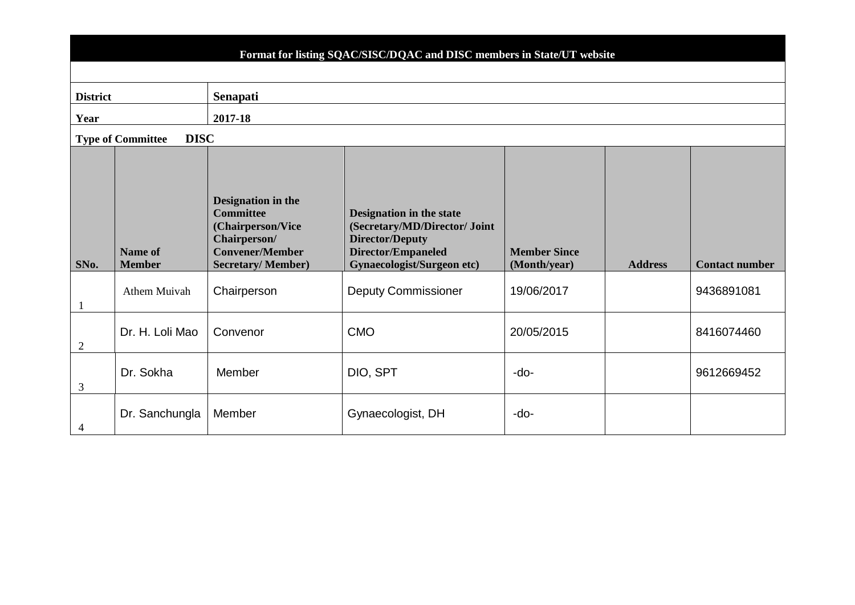# **Format for listing SQAC/SISC/DQAC and DISC members in State/UT website**

| <b>District</b> |                                         | Senapati                                                                                                                          |                                                                                                                                                       |                                     |                |                       |  |  |  |  |  |  |  |
|-----------------|-----------------------------------------|-----------------------------------------------------------------------------------------------------------------------------------|-------------------------------------------------------------------------------------------------------------------------------------------------------|-------------------------------------|----------------|-----------------------|--|--|--|--|--|--|--|
| Year            |                                         | 2017-18                                                                                                                           |                                                                                                                                                       |                                     |                |                       |  |  |  |  |  |  |  |
|                 | <b>DISC</b><br><b>Type of Committee</b> |                                                                                                                                   |                                                                                                                                                       |                                     |                |                       |  |  |  |  |  |  |  |
| SNo.            | <b>Name of</b><br><b>Member</b>         | Designation in the<br><b>Committee</b><br>(Chairperson/Vice<br>Chairperson/<br><b>Convener/Member</b><br><b>Secretary/Member)</b> | <b>Designation in the state</b><br>(Secretary/MD/Director/ Joint<br><b>Director/Deputy</b><br>Director/Empaneled<br><b>Gynaecologist/Surgeon etc)</b> | <b>Member Since</b><br>(Month/year) | <b>Address</b> | <b>Contact number</b> |  |  |  |  |  |  |  |
| $\mathbf{1}$    | Athem Muivah                            | Chairperson                                                                                                                       | <b>Deputy Commissioner</b>                                                                                                                            | 19/06/2017                          |                | 9436891081            |  |  |  |  |  |  |  |
| $\overline{2}$  | Dr. H. Loli Mao                         | Convenor                                                                                                                          | <b>CMO</b>                                                                                                                                            | 20/05/2015                          |                | 8416074460            |  |  |  |  |  |  |  |
| 3               | Dr. Sokha                               | Member                                                                                                                            | DIO, SPT                                                                                                                                              | $-do-$                              |                | 9612669452            |  |  |  |  |  |  |  |
| 4               | Dr. Sanchungla                          | Member                                                                                                                            | Gynaecologist, DH                                                                                                                                     | -do-                                |                |                       |  |  |  |  |  |  |  |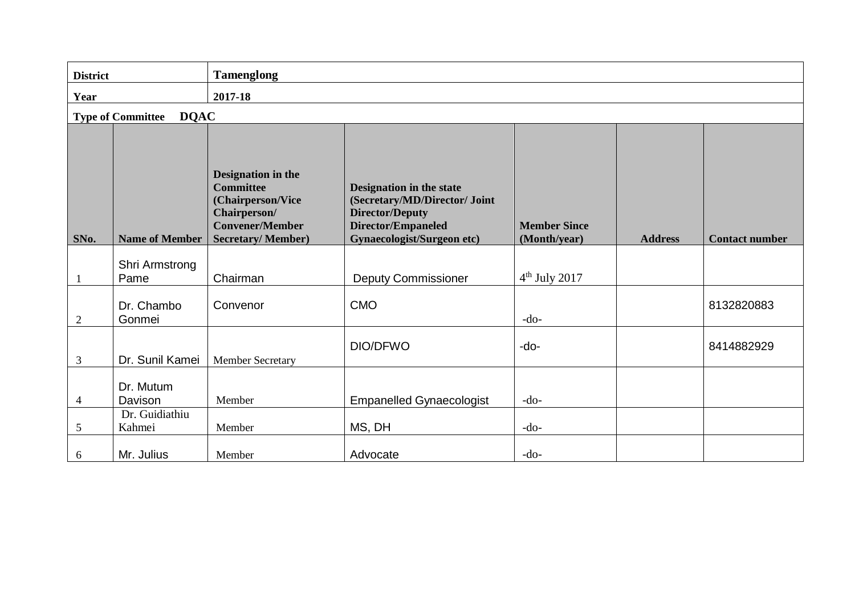| <b>District</b> |                                         | <b>Tamenglong</b>                                                                                                                 |                                                                                                                                                |                                     |                |                       |  |  |  |  |  |  |  |
|-----------------|-----------------------------------------|-----------------------------------------------------------------------------------------------------------------------------------|------------------------------------------------------------------------------------------------------------------------------------------------|-------------------------------------|----------------|-----------------------|--|--|--|--|--|--|--|
| Year            |                                         | 2017-18                                                                                                                           |                                                                                                                                                |                                     |                |                       |  |  |  |  |  |  |  |
|                 | <b>DQAC</b><br><b>Type of Committee</b> |                                                                                                                                   |                                                                                                                                                |                                     |                |                       |  |  |  |  |  |  |  |
| SNo.            | <b>Name of Member</b>                   | Designation in the<br><b>Committee</b><br>(Chairperson/Vice<br>Chairperson/<br><b>Convener/Member</b><br><b>Secretary/Member)</b> | Designation in the state<br>(Secretary/MD/Director/ Joint<br><b>Director/Deputy</b><br>Director/Empaneled<br><b>Gynaecologist/Surgeon etc)</b> | <b>Member Since</b><br>(Month/year) | <b>Address</b> | <b>Contact number</b> |  |  |  |  |  |  |  |
| -1              | Shri Armstrong<br>Pame                  | Chairman                                                                                                                          | <b>Deputy Commissioner</b>                                                                                                                     | $4th$ July 2017                     |                |                       |  |  |  |  |  |  |  |
| $\overline{2}$  | Dr. Chambo<br>Gonmei                    | Convenor                                                                                                                          | <b>CMO</b>                                                                                                                                     | $-do-$                              |                | 8132820883            |  |  |  |  |  |  |  |
| 3               | Dr. Sunil Kamei                         | <b>Member Secretary</b>                                                                                                           | DIO/DFWO                                                                                                                                       | $-do-$                              |                | 8414882929            |  |  |  |  |  |  |  |
| $\overline{4}$  | Dr. Mutum<br>Davison                    | Member                                                                                                                            | <b>Empanelled Gynaecologist</b>                                                                                                                | $-do-$                              |                |                       |  |  |  |  |  |  |  |
| 5               | Dr. Guidiathiu<br>Kahmei                | Member                                                                                                                            | MS, DH                                                                                                                                         | $-do-$                              |                |                       |  |  |  |  |  |  |  |
| 6               | Mr. Julius                              | Member                                                                                                                            | Advocate                                                                                                                                       | $-do-$                              |                |                       |  |  |  |  |  |  |  |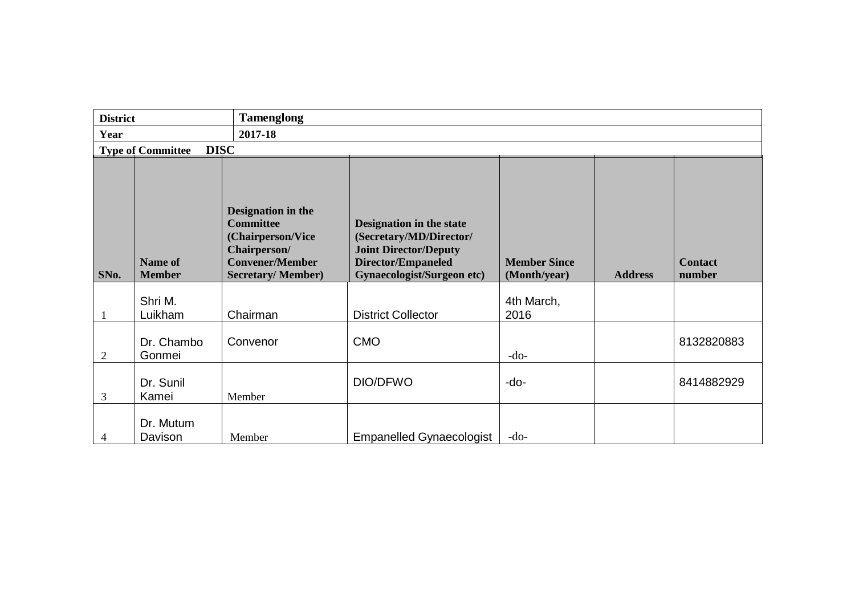| <b>District</b> |                                         | <b>Tamenglong</b>                                                                                                                 |                                                                                                                                                              |                                     |                |                          |
|-----------------|-----------------------------------------|-----------------------------------------------------------------------------------------------------------------------------------|--------------------------------------------------------------------------------------------------------------------------------------------------------------|-------------------------------------|----------------|--------------------------|
| Year            |                                         | 2017-18                                                                                                                           |                                                                                                                                                              |                                     |                |                          |
|                 | <b>DISC</b><br><b>Type of Committee</b> |                                                                                                                                   |                                                                                                                                                              |                                     |                |                          |
| SNo.            | <b>Name of</b><br><b>Member</b>         | Designation in the<br><b>Committee</b><br>(Chairperson/Vice<br>Chairperson/<br><b>Convener/Member</b><br><b>Secretary/Member)</b> | <b>Designation in the state</b><br>(Secretary/MD/Director/<br><b>Joint Director/Deputy</b><br><b>Director/Empaneled</b><br><b>Gynaecologist/Surgeon etc)</b> | <b>Member Since</b><br>(Month/year) | <b>Address</b> | <b>Contact</b><br>number |
|                 | Shri M.<br>Luikham                      | Chairman                                                                                                                          | <b>District Collector</b>                                                                                                                                    | 4th March,<br>2016                  |                |                          |
| $\overline{2}$  | Dr. Chambo<br>Gonmei                    | Convenor                                                                                                                          | <b>CMO</b>                                                                                                                                                   | $-do-$                              |                | 8132820883               |
| 3               | Dr. Sunil<br>Kamei                      | Member                                                                                                                            | DIO/DFWO                                                                                                                                                     | -do-                                |                | 8414882929               |
| 4               | Dr. Mutum<br>Davison                    | Member                                                                                                                            | <b>Empanelled Gynaecologist</b>                                                                                                                              | $-do-$                              |                |                          |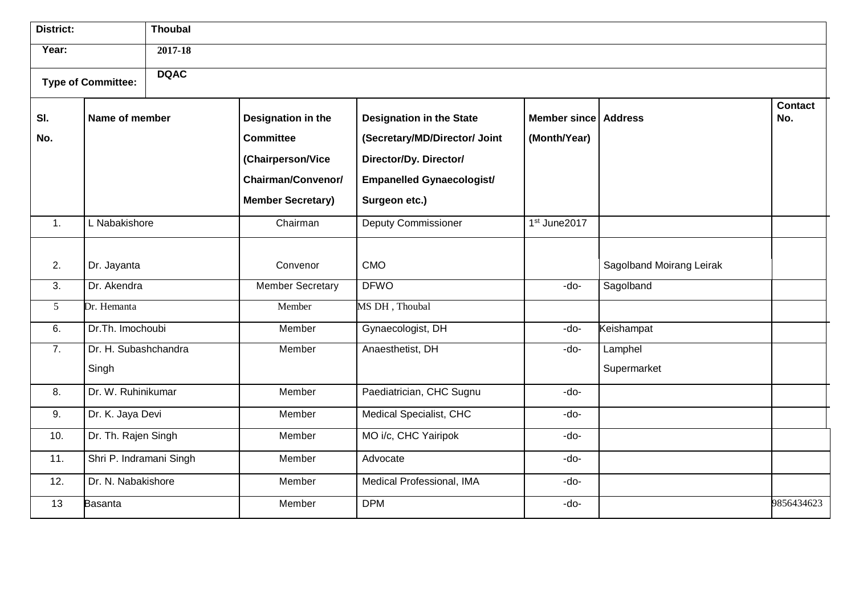| <b>District:</b> |                           | <b>Thoubal</b> |                           |                                  |                      |                          |                       |
|------------------|---------------------------|----------------|---------------------------|----------------------------------|----------------------|--------------------------|-----------------------|
| Year:            |                           | 2017-18        |                           |                                  |                      |                          |                       |
|                  | <b>Type of Committee:</b> | <b>DQAC</b>    |                           |                                  |                      |                          |                       |
| SI.              | Name of member            |                | Designation in the        | <b>Designation in the State</b>  | Member since Address |                          | <b>Contact</b><br>No. |
| No.              |                           |                | <b>Committee</b>          | (Secretary/MD/Director/ Joint    | (Month/Year)         |                          |                       |
|                  |                           |                | (Chairperson/Vice         | Director/Dy. Director/           |                      |                          |                       |
|                  |                           |                | <b>Chairman/Convenor/</b> | <b>Empanelled Gynaecologist/</b> |                      |                          |                       |
|                  |                           |                | <b>Member Secretary)</b>  | Surgeon etc.)                    |                      |                          |                       |
| $\overline{1}$ . | L Nabakishore             |                | Chairman                  | <b>Deputy Commissioner</b>       | 1st June2017         |                          |                       |
|                  |                           |                |                           |                                  |                      |                          |                       |
| 2.               | Dr. Jayanta               |                | Convenor                  | <b>CMO</b>                       |                      | Sagolband Moirang Leirak |                       |
| 3.               | Dr. Akendra               |                | <b>Member Secretary</b>   | <b>DFWO</b>                      | -do-                 | Sagolband                |                       |
| 5 <sup>5</sup>   | Dr. Hemanta               |                | Member                    | MS DH, Thoubal                   |                      |                          |                       |
| 6.               | Dr.Th. Imochoubi          |                | Member                    | Gynaecologist, DH                | -do-                 | Keishampat               |                       |
| 7.               | Dr. H. Subashchandra      |                | Member                    | Anaesthetist, DH                 | -do-                 | Lamphel                  |                       |
|                  | Singh                     |                |                           |                                  |                      | Supermarket              |                       |
| 8.               | Dr. W. Ruhinikumar        |                | Member                    | Paediatrician, CHC Sugnu         | -do-                 |                          |                       |
| 9.               | Dr. K. Jaya Devi          |                | Member                    | Medical Specialist, CHC          | -do-                 |                          |                       |
| 10.              | Dr. Th. Rajen Singh       |                | Member                    | MO i/c, CHC Yairipok             | -do-                 |                          |                       |
| 11.              | Shri P. Indramani Singh   |                | Member                    | Advocate                         | -do-                 |                          |                       |
| 12.              | Dr. N. Nabakishore        |                | Member                    | Medical Professional, IMA        | -do-                 |                          |                       |
| 13               | <b>Basanta</b>            |                | Member                    | <b>DPM</b>                       | -do-                 |                          | 9856434623            |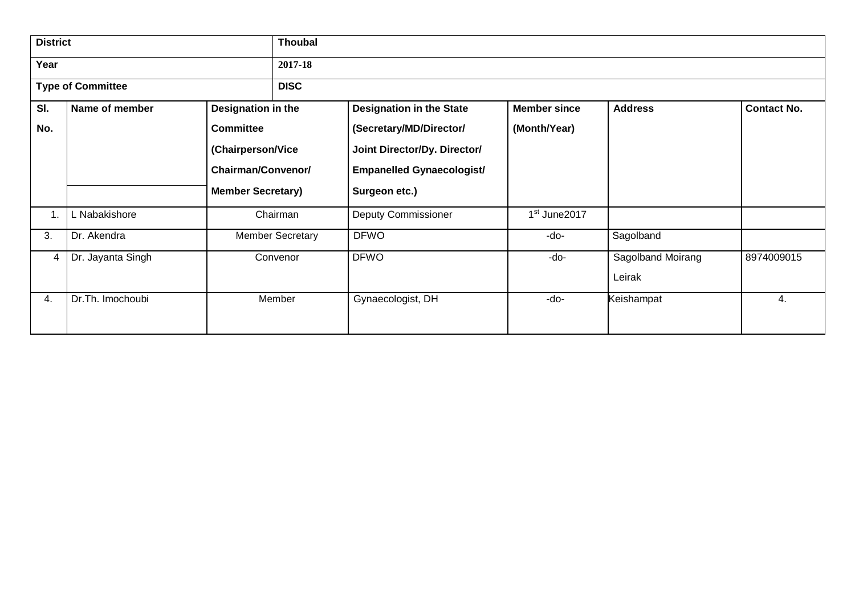| <b>District</b> |                          |                           | <b>Thoubal</b>          |                                  |                          |                   |                    |  |  |  |  |  |  |
|-----------------|--------------------------|---------------------------|-------------------------|----------------------------------|--------------------------|-------------------|--------------------|--|--|--|--|--|--|
| Year            |                          |                           | 2017-18                 |                                  |                          |                   |                    |  |  |  |  |  |  |
|                 | <b>Type of Committee</b> |                           | <b>DISC</b>             |                                  |                          |                   |                    |  |  |  |  |  |  |
| SI.             | Name of member           | Designation in the        |                         | <b>Designation in the State</b>  | <b>Member since</b>      | <b>Address</b>    | <b>Contact No.</b> |  |  |  |  |  |  |
| No.             |                          | <b>Committee</b>          |                         | (Secretary/MD/Director/          | (Month/Year)             |                   |                    |  |  |  |  |  |  |
|                 |                          | (Chairperson/Vice         |                         | Joint Director/Dy. Director/     |                          |                   |                    |  |  |  |  |  |  |
|                 |                          | <b>Chairman/Convenor/</b> |                         | <b>Empanelled Gynaecologist/</b> |                          |                   |                    |  |  |  |  |  |  |
|                 |                          | <b>Member Secretary)</b>  |                         | Surgeon etc.)                    |                          |                   |                    |  |  |  |  |  |  |
| 1.              | L Nabakishore            |                           | Chairman                | <b>Deputy Commissioner</b>       | 1 <sup>st</sup> June2017 |                   |                    |  |  |  |  |  |  |
| 3.              | Dr. Akendra              |                           | <b>Member Secretary</b> | <b>DFWO</b>                      | -do-                     | Sagolband         |                    |  |  |  |  |  |  |
| 4               | Dr. Jayanta Singh        |                           | Convenor                | <b>DFWO</b>                      | -do-                     | Sagolband Moirang | 8974009015         |  |  |  |  |  |  |
|                 |                          |                           |                         |                                  |                          | Leirak            |                    |  |  |  |  |  |  |
| 4.              | Dr.Th. Imochoubi         |                           | Member                  | Gynaecologist, DH                | -do-                     | Keishampat        | 4.                 |  |  |  |  |  |  |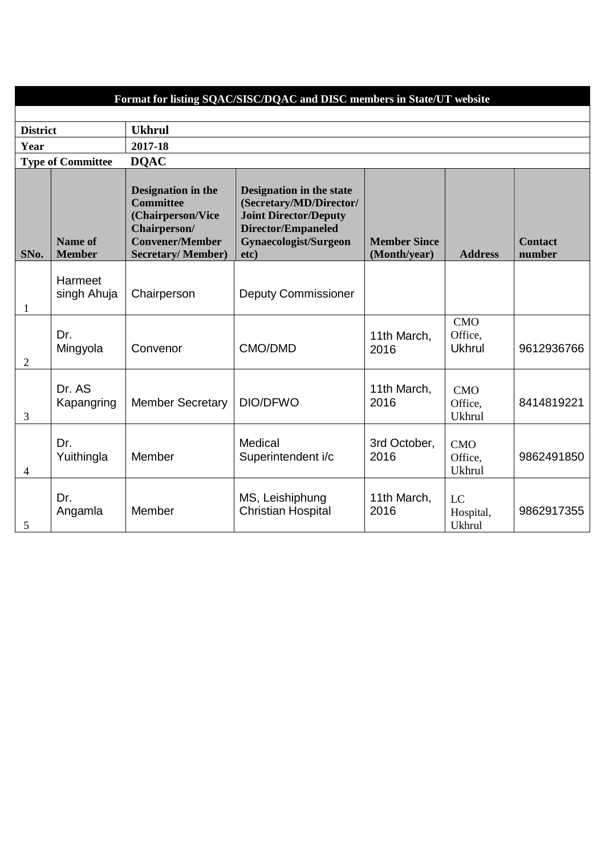|                 |                                 |                                                                                                                                          | Format for listing SQAC/SISC/DQAC and DISC members in State/UT website                                                                                          |                                     |                                        |                          |
|-----------------|---------------------------------|------------------------------------------------------------------------------------------------------------------------------------------|-----------------------------------------------------------------------------------------------------------------------------------------------------------------|-------------------------------------|----------------------------------------|--------------------------|
| <b>District</b> |                                 | <b>Ukhrul</b>                                                                                                                            |                                                                                                                                                                 |                                     |                                        |                          |
| Year            |                                 | 2017-18                                                                                                                                  |                                                                                                                                                                 |                                     |                                        |                          |
|                 | <b>Type of Committee</b>        | <b>DQAC</b>                                                                                                                              |                                                                                                                                                                 |                                     |                                        |                          |
| SNo.            | <b>Name of</b><br><b>Member</b> | Designation in the<br><b>Committee</b><br>(Chairperson/Vice<br><b>Chairperson/</b><br><b>Convener/Member</b><br><b>Secretary/Member)</b> | <b>Designation in the state</b><br>(Secretary/MD/Director/<br><b>Joint Director/Deputy</b><br><b>Director/Empaneled</b><br><b>Gynaecologist/Surgeon</b><br>etc) | <b>Member Since</b><br>(Month/year) | <b>Address</b>                         | <b>Contact</b><br>number |
| $\mathbf{1}$    | Harmeet<br>singh Ahuja          | Chairperson                                                                                                                              | <b>Deputy Commissioner</b>                                                                                                                                      |                                     |                                        |                          |
| $\overline{2}$  | Dr.<br>Mingyola                 | Convenor                                                                                                                                 | CMO/DMD                                                                                                                                                         | 11th March,<br>2016                 | CMO<br>Office,<br><b>Ukhrul</b>        | 9612936766               |
| 3               | Dr. AS<br>Kapangring            | <b>Member Secretary</b>                                                                                                                  | DIO/DFWO                                                                                                                                                        | 11th March,<br>2016                 | CMO<br>Office,<br><b>Ukhrul</b>        | 8414819221               |
| $\overline{4}$  | Dr.<br>Yuithingla               | Member                                                                                                                                   | Medical<br>Superintendent i/c                                                                                                                                   | 3rd October,<br>2016                | <b>CMO</b><br>Office,<br><b>Ukhrul</b> | 9862491850               |
| 5               | Dr.<br>Angamla                  | Member                                                                                                                                   | MS, Leishiphung<br><b>Christian Hospital</b>                                                                                                                    | 11th March,<br>2016                 | LC<br>Hospital,<br><b>Ukhrul</b>       | 9862917355               |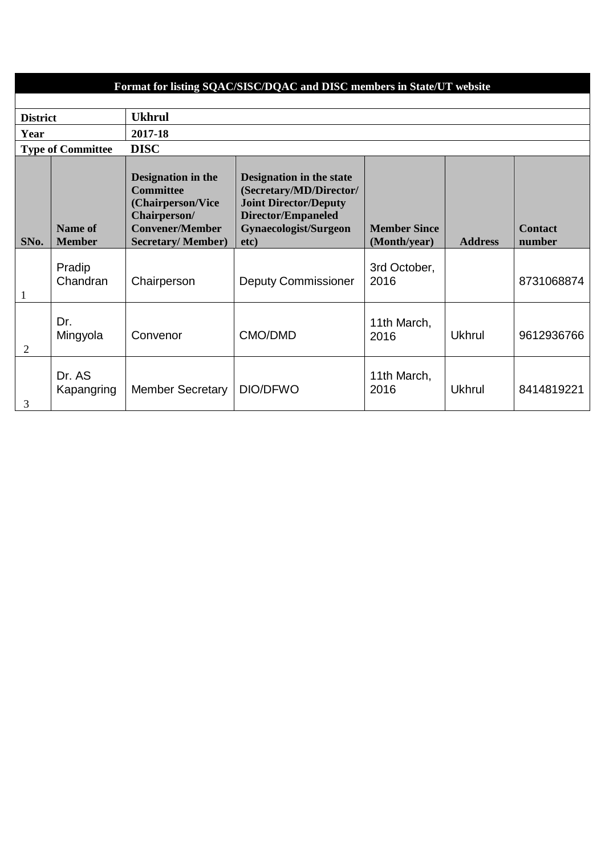| Format for listing SQAC/SISC/DQAC and DISC members in State/UT website |                                 |                                                                                                                                          |                                                                                                                                                   |                                     |                |                          |  |  |  |  |  |  |  |
|------------------------------------------------------------------------|---------------------------------|------------------------------------------------------------------------------------------------------------------------------------------|---------------------------------------------------------------------------------------------------------------------------------------------------|-------------------------------------|----------------|--------------------------|--|--|--|--|--|--|--|
|                                                                        |                                 |                                                                                                                                          |                                                                                                                                                   |                                     |                |                          |  |  |  |  |  |  |  |
| <b>District</b>                                                        |                                 | <b>Ukhrul</b>                                                                                                                            |                                                                                                                                                   |                                     |                |                          |  |  |  |  |  |  |  |
| Year                                                                   |                                 | 2017-18                                                                                                                                  |                                                                                                                                                   |                                     |                |                          |  |  |  |  |  |  |  |
|                                                                        | <b>Type of Committee</b>        | <b>DISC</b>                                                                                                                              |                                                                                                                                                   |                                     |                |                          |  |  |  |  |  |  |  |
| SNo.                                                                   | <b>Name of</b><br><b>Member</b> | <b>Designation in the</b><br><b>Committee</b><br>(Chairperson/Vice<br>Chairperson/<br><b>Convener/Member</b><br><b>Secretary/Member)</b> | Designation in the state<br>(Secretary/MD/Director/<br><b>Joint Director/Deputy</b><br><b>Director/Empaneled</b><br>Gynaecologist/Surgeon<br>etc) | <b>Member Since</b><br>(Month/year) | <b>Address</b> | <b>Contact</b><br>number |  |  |  |  |  |  |  |
| $\mathbf{1}$                                                           | Pradip<br>Chandran              | Chairperson                                                                                                                              | <b>Deputy Commissioner</b>                                                                                                                        | 3rd October,<br>2016                |                | 8731068874               |  |  |  |  |  |  |  |
| $\overline{2}$                                                         | Dr.<br>Mingyola                 | Convenor                                                                                                                                 | CMO/DMD                                                                                                                                           | 11th March,<br>2016                 | <b>Ukhrul</b>  | 9612936766               |  |  |  |  |  |  |  |
| 3                                                                      | Dr. AS<br>Kapangring            | <b>Member Secretary</b>                                                                                                                  | DIO/DFWO                                                                                                                                          | 11th March,<br>2016                 | <b>Ukhrul</b>  | 8414819221               |  |  |  |  |  |  |  |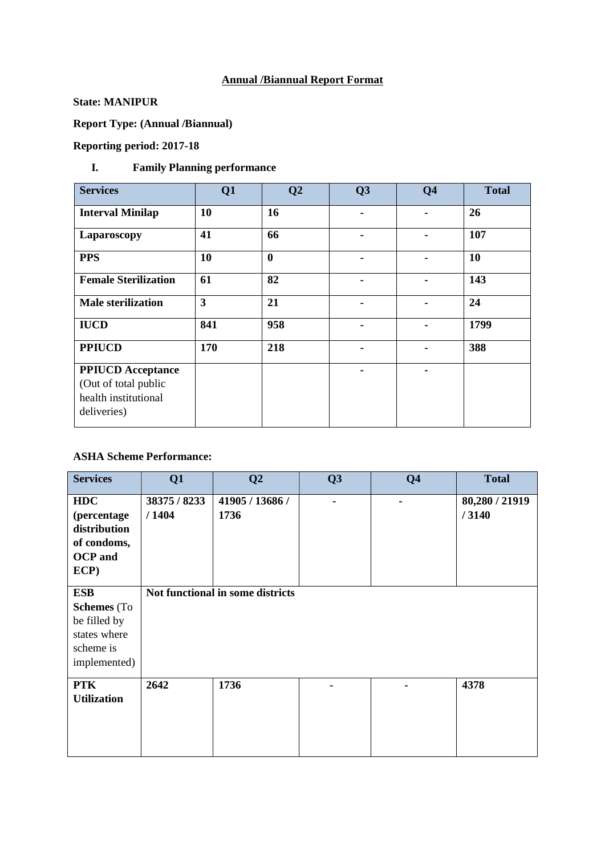# **Annual /Biannual Report Format**

#### **State: MANIPUR**

**Report Type: (Annual /Biannual)**

# **Reporting period: 2017-18**

# **I. Family Planning performance**

| <b>Services</b>                                                                         | Q1  | Q <sub>2</sub>   | Q3 | Q <sub>4</sub> | <b>Total</b> |
|-----------------------------------------------------------------------------------------|-----|------------------|----|----------------|--------------|
| <b>Interval Minilap</b>                                                                 | 10  | 16               |    |                | 26           |
| Laparoscopy                                                                             | 41  | 66               |    | -              | 107          |
| <b>PPS</b>                                                                              | 10  | $\boldsymbol{0}$ |    |                | 10           |
| <b>Female Sterilization</b>                                                             | 61  | 82               |    |                | 143          |
| <b>Male sterilization</b>                                                               | 3   | 21               |    |                | 24           |
| <b>IUCD</b>                                                                             | 841 | 958              |    |                | 1799         |
| <b>PPIUCD</b>                                                                           | 170 | 218              |    | -              | 388          |
| <b>PPIUCD</b> Acceptance<br>(Out of total public<br>health institutional<br>deliveries) |     |                  |    |                |              |

#### **ASHA Scheme Performance:**

| <b>Services</b>    | Q1           | Q <sub>2</sub>                   | Q3             | Q <sub>4</sub> | <b>Total</b>   |
|--------------------|--------------|----------------------------------|----------------|----------------|----------------|
|                    |              |                                  |                |                |                |
| <b>HDC</b>         | 38375 / 8233 | 41905 / 13686 /                  | $\blacksquare$ |                | 80,280 / 21919 |
| (percentage        | /1404        | 1736                             |                |                | /3140          |
| distribution       |              |                                  |                |                |                |
| of condoms,        |              |                                  |                |                |                |
| <b>OCP</b> and     |              |                                  |                |                |                |
| ECP)               |              |                                  |                |                |                |
|                    |              |                                  |                |                |                |
| <b>ESB</b>         |              | Not functional in some districts |                |                |                |
| <b>Schemes</b> (To |              |                                  |                |                |                |
| be filled by       |              |                                  |                |                |                |
| states where       |              |                                  |                |                |                |
| scheme is          |              |                                  |                |                |                |
| implemented)       |              |                                  |                |                |                |
|                    |              |                                  |                |                |                |
| <b>PTK</b>         | 2642         | 1736                             |                |                | 4378           |
| <b>Utilization</b> |              |                                  |                |                |                |
|                    |              |                                  |                |                |                |
|                    |              |                                  |                |                |                |
|                    |              |                                  |                |                |                |
|                    |              |                                  |                |                |                |